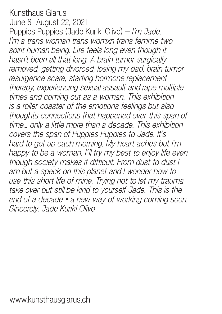Kunsthaus Glarus June 6–August 22, 2021 Puppies Puppies (Jade Kuriki Olivo) – *I'm Jade. I'm a trans woman trans womxn trans femme two*  spirit human being. Life feels long even though it *hasn't been all that long. A brain tumor surgically removed, getting divorced, losing my dad, brain tumor resurgence scare, starting hormone replacement therapy, experiencing sexual assault and rape multiple times and coming out as a woman. This exhibition is a roller coaster of the emotions feelings but also thoughts connections that happened over this span of time... only a little more than a decade. This exhibition covers the span of Puppies Puppies to Jade. It's hard to get up each morning. My heart aches but I'm happy to be a woman. I'll try my best to enjoy life even though society makes it difficult. From dust to dust I am but a speck on this planet and I wonder how to use this short life of mine. Trying not to let my trauma take over but still be kind to yourself Jade. This is the end of a decade • a new way of working coming soon. Sincerely, Jade Kuriki Olivo*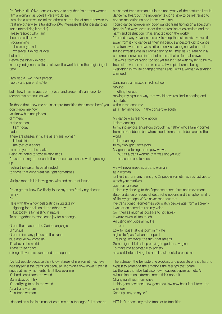| I'm Jade Kuriki Olivo. I am very proud to say that I'm a trans woman.<br>"I'm a woman." as Joela Rivera would say<br>I am also a womxn. (to tell me otherwise to think of me otherwise to<br>treat me otherwise is transphobia)(to internalize this)(understanding<br>what internalizing it entails)<br>Please respect who I am<br>It comes with $un -$<br>Programming<br>the binary mind<br>wherever it exists all over<br>but a time<br>Before the binary existed<br>in many indigenous cultures all over the world since the beginning of<br>time | a closeted trans woman but in the anonymity of the costume I could<br>dance my heart out the movements didn't have to be restrained to<br>appear masculine no one knew it was me<br>I could dance however my body wanted transitioning on a spectrum<br>(people find ways even under the oppression of colonalism and the<br>harm and destruction it has enacted upon the world)<br>* To find a way • even in secret • to keep the culture alive • even if<br>away from it • to dance as their indigenous ancestors did to dance<br>as a trans woman a two spirit person • so young not yet out but<br>feeling myself alone in a room dancing to Christina Aguilera or in a<br>costume anonymous in front of a basketball or football crowd<br>* It was a form of hiding too not yet feeling free with myself to be my<br>true self a woman a trans womxn a two spirit human being<br>Everything in my life changed when I said I was a woman everything<br>changed |
|------------------------------------------------------------------------------------------------------------------------------------------------------------------------------------------------------------------------------------------------------------------------------------------------------------------------------------------------------------------------------------------------------------------------------------------------------------------------------------------------------------------------------------------------------|---------------------------------------------------------------------------------------------------------------------------------------------------------------------------------------------------------------------------------------------------------------------------------------------------------------------------------------------------------------------------------------------------------------------------------------------------------------------------------------------------------------------------------------------------------------------------------------------------------------------------------------------------------------------------------------------------------------------------------------------------------------------------------------------------------------------------------------------------------------------------------------------------------------------------------------------------------------------|
| I am also a Two-Spirit person.<br>I go by and prefer She/Her                                                                                                                                                                                                                                                                                                                                                                                                                                                                                         | Dancing as a mascot in high school<br>moving                                                                                                                                                                                                                                                                                                                                                                                                                                                                                                                                                                                                                                                                                                                                                                                                                                                                                                                        |
| but They/Them is apart of my past and present it's an honor to<br>receive this pronoun as well.                                                                                                                                                                                                                                                                                                                                                                                                                                                      | letting her out<br>moving my hips in a way that would have resulted in beating and<br>humiliation                                                                                                                                                                                                                                                                                                                                                                                                                                                                                                                                                                                                                                                                                                                                                                                                                                                                   |
| To those that knew me as *insert pre transition dead name here* you<br>don't know me now<br>you know bits and pieces                                                                                                                                                                                                                                                                                                                                                                                                                                 | without the costume<br>as a "feminine boy" in the consertive south                                                                                                                                                                                                                                                                                                                                                                                                                                                                                                                                                                                                                                                                                                                                                                                                                                                                                                  |
| glimmers                                                                                                                                                                                                                                                                                                                                                                                                                                                                                                                                             | My dance was feeling emotion                                                                                                                                                                                                                                                                                                                                                                                                                                                                                                                                                                                                                                                                                                                                                                                                                                                                                                                                        |
| of the person                                                                                                                                                                                                                                                                                                                                                                                                                                                                                                                                        | I relate dancing                                                                                                                                                                                                                                                                                                                                                                                                                                                                                                                                                                                                                                                                                                                                                                                                                                                                                                                                                    |
| I am today<br>Jade                                                                                                                                                                                                                                                                                                                                                                                                                                                                                                                                   | to my indigenous ancestors through my father who's family comes<br>from the Caribbean but who's blood stems from tribes around the                                                                                                                                                                                                                                                                                                                                                                                                                                                                                                                                                                                                                                                                                                                                                                                                                                  |
| There are phases in my life as a trans woman                                                                                                                                                                                                                                                                                                                                                                                                                                                                                                         | world                                                                                                                                                                                                                                                                                                                                                                                                                                                                                                                                                                                                                                                                                                                                                                                                                                                                                                                                                               |
| I shed skin                                                                                                                                                                                                                                                                                                                                                                                                                                                                                                                                          | I relate dancing                                                                                                                                                                                                                                                                                                                                                                                                                                                                                                                                                                                                                                                                                                                                                                                                                                                                                                                                                    |
| like that of a snake<br>I am the year of the snake                                                                                                                                                                                                                                                                                                                                                                                                                                                                                                   | to my two spirit ancestors<br>My grandpa taking me to pow wows                                                                                                                                                                                                                                                                                                                                                                                                                                                                                                                                                                                                                                                                                                                                                                                                                                                                                                      |
| Being attracted to toxic relationships                                                                                                                                                                                                                                                                                                                                                                                                                                                                                                               | *but as a trans woman that was not yet out*                                                                                                                                                                                                                                                                                                                                                                                                                                                                                                                                                                                                                                                                                                                                                                                                                                                                                                                         |
| Abuse from my father and other abuse experienced while growing                                                                                                                                                                                                                                                                                                                                                                                                                                                                                       | the son he use to know                                                                                                                                                                                                                                                                                                                                                                                                                                                                                                                                                                                                                                                                                                                                                                                                                                                                                                                                              |
| U <sub>D</sub>                                                                                                                                                                                                                                                                                                                                                                                                                                                                                                                                       |                                                                                                                                                                                                                                                                                                                                                                                                                                                                                                                                                                                                                                                                                                                                                                                                                                                                                                                                                                     |
| feeling the reason to be attracted<br>to those that don't treat me right sometimes                                                                                                                                                                                                                                                                                                                                                                                                                                                                   | we will never meet as a trans woman<br>as a woman                                                                                                                                                                                                                                                                                                                                                                                                                                                                                                                                                                                                                                                                                                                                                                                                                                                                                                                   |
|                                                                                                                                                                                                                                                                                                                                                                                                                                                                                                                                                      | its like that for many trans gnc 2s people sometimes you just get to                                                                                                                                                                                                                                                                                                                                                                                                                                                                                                                                                                                                                                                                                                                                                                                                                                                                                                |
| Multiple rapes in life leaving me with endless trust issues                                                                                                                                                                                                                                                                                                                                                                                                                                                                                          | watch your relatives                                                                                                                                                                                                                                                                                                                                                                                                                                                                                                                                                                                                                                                                                                                                                                                                                                                                                                                                                |
| I'm so grateful now I've finally found my trans family my chosen                                                                                                                                                                                                                                                                                                                                                                                                                                                                                     | age from a screen<br>I relate my dancing to the Japanese dance form and movement                                                                                                                                                                                                                                                                                                                                                                                                                                                                                                                                                                                                                                                                                                                                                                                                                                                                                    |
| family                                                                                                                                                                                                                                                                                                                                                                                                                                                                                                                                               | Butoh a dance of agony of death of emotions and the ephemerality                                                                                                                                                                                                                                                                                                                                                                                                                                                                                                                                                                                                                                                                                                                                                                                                                                                                                                    |
| ľm                                                                                                                                                                                                                                                                                                                                                                                                                                                                                                                                                   | of life My grandpa We've never met now that                                                                                                                                                                                                                                                                                                                                                                                                                                                                                                                                                                                                                                                                                                                                                                                                                                                                                                                         |
| Here with them now celebrating in upstate ny                                                                                                                                                                                                                                                                                                                                                                                                                                                                                                         | l've transitioned •sometimes you watch people age from a screen•                                                                                                                                                                                                                                                                                                                                                                                                                                                                                                                                                                                                                                                                                                                                                                                                                                                                                                    |
| fighting for abolition all the other days<br>but today is for healing in nature                                                                                                                                                                                                                                                                                                                                                                                                                                                                      | I was often scared to use my voice<br>So I tried as much as possible to not speak                                                                                                                                                                                                                                                                                                                                                                                                                                                                                                                                                                                                                                                                                                                                                                                                                                                                                   |
| To be together to experience joy for a change                                                                                                                                                                                                                                                                                                                                                                                                                                                                                                        | It would reveal all too much                                                                                                                                                                                                                                                                                                                                                                                                                                                                                                                                                                                                                                                                                                                                                                                                                                                                                                                                        |
|                                                                                                                                                                                                                                                                                                                                                                                                                                                                                                                                                      | Adjusting my voice all my life                                                                                                                                                                                                                                                                                                                                                                                                                                                                                                                                                                                                                                                                                                                                                                                                                                                                                                                                      |
| Green the peace of the Caribbean jungle<br>El Yunque                                                                                                                                                                                                                                                                                                                                                                                                                                                                                                 | from<br>Low to "pass" at one point in my life                                                                                                                                                                                                                                                                                                                                                                                                                                                                                                                                                                                                                                                                                                                                                                                                                                                                                                                       |
| Green is in many places on the planet                                                                                                                                                                                                                                                                                                                                                                                                                                                                                                                | higher to "pass" at another point                                                                                                                                                                                                                                                                                                                                                                                                                                                                                                                                                                                                                                                                                                                                                                                                                                                                                                                                   |
| blue and yellow combine                                                                                                                                                                                                                                                                                                                                                                                                                                                                                                                              | "Passing" whatever the fuck that means                                                                                                                                                                                                                                                                                                                                                                                                                                                                                                                                                                                                                                                                                                                                                                                                                                                                                                                              |
| it's all over the world                                                                                                                                                                                                                                                                                                                                                                                                                                                                                                                              | Some nights I fell asleep praying to god for a vagina                                                                                                                                                                                                                                                                                                                                                                                                                                                                                                                                                                                                                                                                                                                                                                                                                                                                                                               |
| These three colors<br>mixing all over this planet and atmosphere                                                                                                                                                                                                                                                                                                                                                                                                                                                                                     | To make me acceptable to society<br>as a child internalizing the hate I could feel all around me                                                                                                                                                                                                                                                                                                                                                                                                                                                                                                                                                                                                                                                                                                                                                                                                                                                                    |
|                                                                                                                                                                                                                                                                                                                                                                                                                                                                                                                                                      |                                                                                                                                                                                                                                                                                                                                                                                                                                                                                                                                                                                                                                                                                                                                                                                                                                                                                                                                                                     |
| I've lost people because they know stages of me sometimes I even                                                                                                                                                                                                                                                                                                                                                                                                                                                                                     | The estrogen the testosterone blockers and progesterone it's hard to                                                                                                                                                                                                                                                                                                                                                                                                                                                                                                                                                                                                                                                                                                                                                                                                                                                                                                |
| lose myself in the transition because I let myself flow down it even if<br>rapids at many moments I let it flow over me                                                                                                                                                                                                                                                                                                                                                                                                                              | explain to someone the emotions the feelings that come<br>Up the ways it helps but also how it causes depression etc An                                                                                                                                                                                                                                                                                                                                                                                                                                                                                                                                                                                                                                                                                                                                                                                                                                             |
| It's hard I can't face the world                                                                                                                                                                                                                                                                                                                                                                                                                                                                                                                     | exhaustion to an extreme I mean think about it                                                                                                                                                                                                                                                                                                                                                                                                                                                                                                                                                                                                                                                                                                                                                                                                                                                                                                                      |
| Many days but I try                                                                                                                                                                                                                                                                                                                                                                                                                                                                                                                                  | Changing all your hormones                                                                                                                                                                                                                                                                                                                                                                                                                                                                                                                                                                                                                                                                                                                                                                                                                                                                                                                                          |
| It's terrifying to be in the world<br>As a trans woman                                                                                                                                                                                                                                                                                                                                                                                                                                                                                               | Libido gone now back now gone now low now back in full force the<br>changes                                                                                                                                                                                                                                                                                                                                                                                                                                                                                                                                                                                                                                                                                                                                                                                                                                                                                         |
| As a trans woman                                                                                                                                                                                                                                                                                                                                                                                                                                                                                                                                     | Keep up I say to myself                                                                                                                                                                                                                                                                                                                                                                                                                                                                                                                                                                                                                                                                                                                                                                                                                                                                                                                                             |
| I danced as a lion in a mascot costume as a teenager full of fear as                                                                                                                                                                                                                                                                                                                                                                                                                                                                                 | HRT isn't necessary to be trans or to transition                                                                                                                                                                                                                                                                                                                                                                                                                                                                                                                                                                                                                                                                                                                                                                                                                                                                                                                    |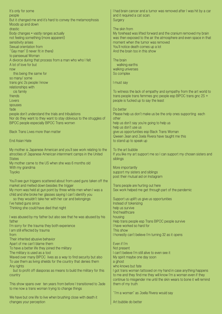It's only for some people But it changed me and it's hard to convey the metamorphosis Moods up and down drastic Body changes • vastly ranges actually not feeling something (more apparent) sensitivity arises Sexual orientation from "Gay man" (I never fit in there) to pansexual Woman A divorce during that process from a man who who I felt A lot of love for but now this being the same for so many/ some trans gnc 2s people I know relationships with cis family friends Lovers spouses fade people don't understand the trials and tribulations Nor do they want to they want to stay oblivious to the struggles of BIPOC people especially BIPOC Trans womxn Black Trans Lives more than matter End Asian Hate My mother is Japanese American and you'll see work relating to the atrocities of Japanese American internment camps in the United **States** My mother came to the US when she was 6 months old With my grandma Toyoko You'll see gun triggers scattered about from used guns taken off the market and melted down besides the trigger My mom was held at gun point by three white men when I was a child and she broke her glasses saying I can't identify you so they wouldn't take her with her car and belongings I've hated guns since Thinking she could have died that night I was abused by my father but also see that he was abused by his father I'm sorry for the trauma they both experience I am still effected by trauma from Their inherited abusive behavior Apart of me can't blame them To have a better life they joined the military The military is used as a tool Waved over many BIPOC lives as a way to find security but also To use them as living shields for the country that denies them Any rights but to profit off diasporas as means to build the military for this country This show spans over ten years from before I transitioned to Jade to me now a trans woman trying to change things We have but one life to live when brushing close with death it **Surgery** The skin from The brain walking earths walking universes So complex I must say Do better other To the art bubble siblings More importantly help us survive find healthcare housing This show Even if I'm Not present a ghost continue to misgender me until the skin wears to bone it will remind them of my truth

changes your perception

I had brain cancer and a tumor was removed after I was hit by a car and it required a cat scan.

My forehead was lifted forward and the cranium removed my brain was then exposed to the air the atmosphere and even space in that moment when the tumor was removed You'll notice death comes up a lot And the brain too in this show

To witness the lack of empathy and sympathy from the art world to trans people trans femmes gnc people esp BIPOC trans gnc 2S + people is fucked up to say the least

Please help us don't make us be the only ones supporting each help us don't say you're going to help us help us don't use us give us opportunities esp Black Trans Woman Qween Jean and Joela Rivera have taught me this to stand up to speak up

If you like my art support me so I can support my chosen sisters and

support my sisters and siblings post their mutual aid on Instagram

Trans people are hurting out here Sex work helped me get through part of the pandemic

Support us uplift us give us opportunities Instead of tokenizing Help trans people esp Trans BIPOC people survive I have worked so hard for I honestly can't believe I'm turning 32 as it opens

I can't believe I'm still alive to even see it My spirit maybe one day soon who knows but fate I got trans woman tattooed on my hand in case anything happens to me and they find me they will know I'm a woman even if they

"I'm a woman" as Joella Rivera would say

Art bubble do better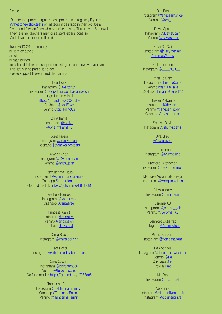#### Please

(Donate to a protest organization I protest with regularly if you can @thestonewallprotests on instagram cashapp in their bio Joela Rivera and Qween Jean who organize it every Thursday at Stonewall They are my teachers mentors sisters elders icons so Much love and honor to them)

Trans GNC 2S community brilliant creatives artists human beings you should follow and support on Instagram and however you can This list is in no particular order Please support these incredible humans

> Lexii Foxx Instagram @lexiifoxx69 Instagram @stopkillingusglobalcampaign her go fund me link is https://gofund.me/02044d3e Cashapp **\$LexiiFoxx** Venmo Stop-KillingUs

> > Bri Williams Instagram @bruizr @bria-williams-5

Joela Rivera Instagram @joelriveraaa Cashapp \$stonewallprotests

Qween Jean Instagram @Qween\_jean Venmo @miss\_jean

Laboujienata Diallo Instagram @ko\_min\_laboujienata Cashapp \$Laboujienata Go fund me link https://gofund.me/86f36c81

> Aletheia Ramos Instagram @veritasrael Cashapp **Sveritasrael**

Princess Alani ! Instagram @alaninyc Venmo Alanipassion Cashapp **\$nycpaid** 

China Black Instagram @china.bqueen

Elliot Reed Instagram @elliot\_reed\_laboratories

Cielo Oscuro Instagram @bbysatan666 Venmo @tucielooscuro Go fund me link https://gofund.me/d7983dd5

> Tahtianna Carrol Instagram @tahtianna\_infinity\_ Cashapp \$TahtiannaFermin Venmo @TahtiannaFermin

Ren Pan Instagram @sheseemsnice Venmo **@ren\_pan** 

Davia Spain Instagram @DaviaSpain Venmo @daviaspain

Dréya St. Clair Instagram @Dreyastclair #TransisWorthy

SoiL Thornton  $Instant@$  s 0 i L

Iman Le Caire Instagram @ImanLeCaire Venmo Iman-LeCaire Cashapp **\$ImanLeCaireNYC** 

Thesan Pollyanna Instagram @thesan.p Venmo @Thesan-polly Cashapp \$thesanmusic

Shuriya Davis Instagram @shuriyadavis

> Ava Grey @avagrey.xo

**Tourmaline** Instagram @tourmaliiine

Precious Okoyomon Instagram @devilintraining\_

Marquise Vilsón Balenciaga Instagram @MarquiseVilson

> Ali Mounkary Instagram @prriinceali

Jerome AB Instagram @jerome\_\_ab Venmo @Jerome\_AB

Jennicet Gutiérrez Instagram @jennicetguti

Richie Shazam Instagram @richieshazam

Iiia Xochipilli Instagram @theearthstwinsister Venmo @iiia Cashapp \$iiia PayPal iiiax

> Ms Jael Instagram @ms\_\_jael

**Neptunite** Instagram @dragonflyneptunite Instagram @solunarpillars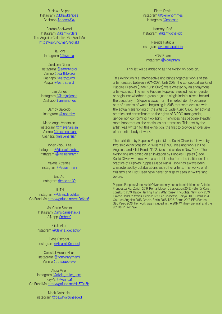B. Hawk Snipes Instagram @bhawksnipes Cashapp \$bhawk334

Jordan Shelwood Instagram @kamkorderz The Angelito Collective Go Fund Me https://gofund.me/67eb1ab1

> Gia Love Instagram @love.gia

Jordiana Diana Instagram @earthtojordi Venmo @earthtojordi Cashapp \$earthtojordi Paypal @earthtojordi

Jari Jones Instagram @iamjarijones Cashapp \$iamjarijones

Bamby Salcedo Instagram @labamby

Marie Angel Venarsian Instagram @msvenarsian Venmo @msvenarsian Cashapp \$msvenarsian

Rohan Zhou-Lee Instagram @diaryofafirebird Instagram @Blasianmarch

Valeria Atreides Instagram @adjust\_rain

Eric Ao Instagram @eric.ao.39

LILITH Instagram @devilsdaughtaa Go Fund Me https://gofund.me/ca2d6aa6

> Ms. Carrie Stacks Instagram @ms.carriestacks £\$ app £mbcc9

Elijah Alter Instagram @devine\_deception

Dese Escobar Instagram @1inamilli0nangel

Xelestíal Moreno-Luz Instagram @nonbinarymami Venmo @theageofeve

Alicia Miller Instagram @alicia\_miller\_kem PayPal @kenrica1 Go Fund Me https://gofund.me/de670c5b

> Mook Nathaniel Instagram @be.whoyouneeded

Pierre Davis Instagram @pierrehommes Instagram @nosesso

Kammy-Raé Instagram @kamyothekidd

Nereida Patricia Instagram @nereidapatricia

XOÁI Pham Instagram @xoai.pham

This list will be added to as the exhibition goes on.

This exhibition is a retrospective and brings together works of the artist created between 2011–2021. Until 2018, the conceptual works of Puppies Puppies (Jade Kuriki Olivo) were created by an anonymous artist-subject. The name Puppies Puppies revealed neither gender or origin, nor whether a group or just a single individual was behind the pseudonym. Stepping away from this veiled identity became part of a series of works beginning in 2018 that were overlaid with the actual transitioning of the artist to Jade Kuriki Olivo. Her activist practice and commitment to the rights of BIPOC transgender, gender non conforming, two spirit + minorities has become steadily more important as she continues her transition. This text by the artist was written for this exhibition, the first to provide an overview of her entire body of work.

The exhibition by Puppies Puppies (Jade Kuriki Olivo), is followed by two solo exhibitions by Bri Williams (\*1993, lives and works in Los Angeles) and Elliot Reed (\*1992, lives and works in New York). The exhibitions are based on an invitation by Puppies Puppies (Jade Kuriki Olivo), who received a carte blanche from the institution. The practice of Puppies Puppies (Jade Kuriki Olivo) has always been characterized by collaborations with other artists. The works of Bri Williams and Elliot Reed have never on display seen in Switzerland before.

Puppies Puppies (Jade Kuriki Olivo) recently had solo exhibitions at Galerie Francesca Pia, Zurich 2019; Remai Modern, Saskatoon 2019; Halle für Kunst, Lüneburg 2019; Balice Hertling, Paris 2019; Queer Thoughts, New York 2019; Galerie Barbara Weiss, Berlin 2018; XYZ Collective, Tokyo 2018; Overduin & Co., Los Angeles 2017; Oracle, Berlin 2017; T293, Rome 2017; BFA Boatos, São Paulo 2016. Her work was included in the 2017 Whitney Biennial, and the 9th Berlin Biennale.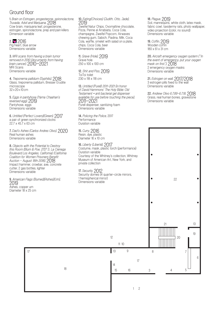## Ground floor

**1.** *Brain on Estrogen, progesterone, spironolactone, Truvada, Advil and Marijuana*, 2018 Cow brain, marijuana leaf, progesterone, estrogen, spironolactone, prep and pain killers Dimension variable

### **2.** , 2016

Pig heart, blue arrow Dimensions variable

**3.** *MRI scans from having a brain tumor removed in 2010 (documents from having brain cancer)*, 2010–2021 MRI Scans Dimensions variable

**4.** *Treponema pallidum (Syphilis)*, 2018 Glass, treponema pallidum, Bresser Erudite microscope  $32 \times 20 \times 10$  cm

**5.** *Eggs in pantyhose (Yama Chaahan's reversed egg)*, 2019 Pantyhose, eggs Dimensions variable

**6.** *Untitled (Perfect Lovers)(Green)*, 2017 a pair of green synchronized clocks 22.7 x 45.7 x 63 cm

**7.** *Dad's Ashes (Carlos Andres Olivo)*, 2020 Real human ashes Dimensions variable

**8.** *Objects with the Potential to Destroy this Room (Blum & Poe, 2727 S. La Cienega Boulevard Los Angeles, California) (California Coalition for Women Prisoners Benefit Auction - August 18th 2018)*, 2018 Impact hammer, crowbar, axe, concrete cutter, 2 gas bottles, lighter Dimensions variable

**9.** *American Flags (Burned)(Ashes)(Urn)*, 2019 Ashes, copper urn Diameter 18 x 25 cm

17

**10.** *Eating(Choices) (Judith, Otto, Jade)*, 2019 Zweifel Natur Chips, Ovomaltine chocolate, Pizza, Penne al Arrabiata, Coca Cola, champagne, Zweifel Popcorn, Airwaves chewing gum, Sabich, Piadina, Milk, Coca Cola, waffle, omelet with salad on a plate, chips, Coca Cola, beer Dimensions variable

**11.** *Grave (Hole)*, 2019 Grave hole 250 x 100 x 100 cm

**12.** *Shit and Piss*, 2019 ToiToi toilet 230 x 118 x 118 cm

**13.** *Untitled (Purell) 2011-2021 (in honor of David Hammons' The Holy Bible: Old Testament • anti bacterial gel dispenser available for use before touching the piece)*, 2011–2021 Purell dispenser, sanitizing foam Dimensions variable

**14.** *Policing the Police*, 2017 **Performance** Duration variable

**15.** *Curry*, 2016

### **18.** *Plague*, 2019

Soil, mannequins, white cloth, latex mask, fabric cowl, taxidermy rats, photo wallpaper, video projection (color, no sound) Dimensions variable

**19.** *Coffin*, 2019 Wooden coffin 180 x 61 x 31 cm

**20.** *Aircraft emergency oxygen system ("In the event of emergency, put your oxygen mask on first.")*, 2018 2 emergency oxygen masks Dimensions variable

**21.** *Estrogen on wall*, 2017/2018 3 estrogen pills fixed to the wall Dimensions variable

**22.** *Andrew Olivo 6.7.89-6.7.18*, 2018 Grass, real human bones, gravestone Dimensions variable

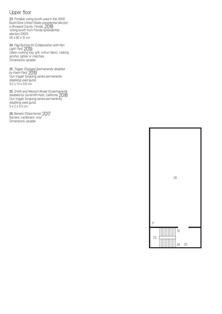# Upper floor

**23.** *Portable voting booth used in the 2000 Bush/Gore United States presidential election in Broward County, Florida*, 2018 Voting booth from Florida (presidential election 2000) 50 x 60 x 10 cm

**24.** *Flag Burning Kit (collaboration with Ren Light Pan)*, 2019 Glass cooking tray, grill, cotton fabric, rubbing alcohol, lighter or matches Dimensions variable

**25.** *Trigger (Savage) (permanently disabled by Kwon Pan)*, 2019 Gun trigger (ongoing series permanently disabling used guns) 3.2 x 1.5 x 0.8 cm

**25.** *Smith and Wesson Model 10 permanently disabled by Gunsmith Kats, California*, 2018 Gun trigger (ongoing series permanently disabling used guns) 5 x 2 x 0.5 cm

**26.** *Barriers (Stanchions)*, 2017 Barriers, cardboard, vinyl Dimensions variable